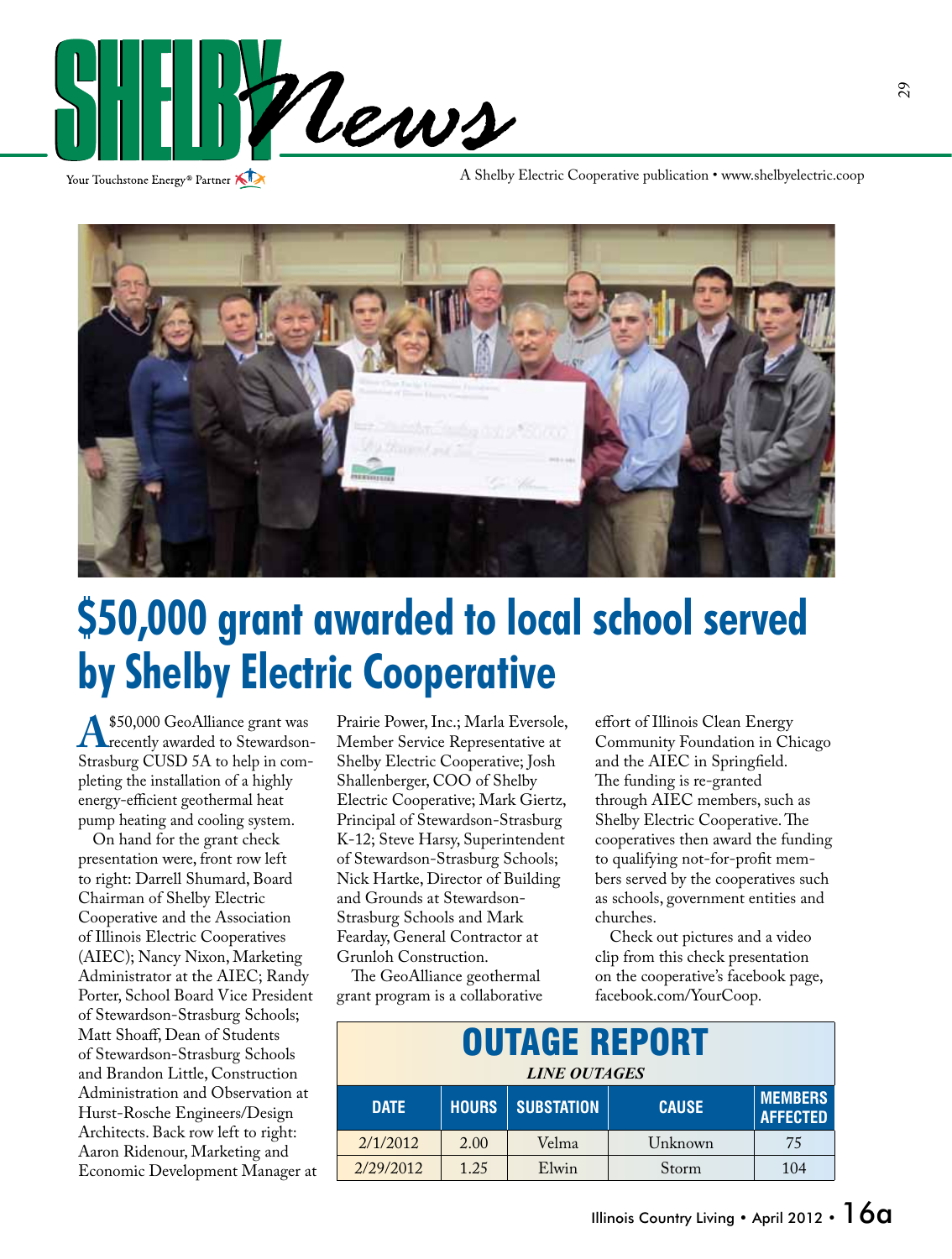

Your Touchstone Energy<sup>®</sup> Partner

A Shelby Electric Cooperative publication • www.shelbyelectric.coop



### **\$50,000 grant awarded to local school served by Shelby Electric Cooperative**

**A** \$50,000 GeoAlliance grant was<br>Strasburg CUSD 5A to belp in com-Strasburg CUSD 5A to help in completing the installation of a highly energy-efficient geothermal heat pump heating and cooling system.

 On hand for the grant check presentation were, front row left to right: Darrell Shumard, Board Chairman of Shelby Electric Cooperative and the Association of Illinois Electric Cooperatives (AIEC); Nancy Nixon, Marketing Administrator at the AIEC; Randy Porter, School Board Vice President of Stewardson-Strasburg Schools; Matt Shoaff, Dean of Students of Stewardson-Strasburg Schools and Brandon Little, Construction Administration and Observation at Hurst-Rosche Engineers/Design Architects. Back row left to right: Aaron Ridenour, Marketing and Economic Development Manager at Prairie Power, Inc.; Marla Eversole, Member Service Representative at Shelby Electric Cooperative; Josh Shallenberger, COO of Shelby Electric Cooperative; Mark Giertz, Principal of Stewardson-Strasburg K-12; Steve Harsy, Superintendent of Stewardson-Strasburg Schools; Nick Hartke, Director of Building and Grounds at Stewardson-Strasburg Schools and Mark Fearday, General Contractor at Grunloh Construction.

 The GeoAlliance geothermal grant program is a collaborative effort of Illinois Clean Energy Community Foundation in Chicago and the AIEC in Springfield. The funding is re-granted through AIEC members, such as Shelby Electric Cooperative. The cooperatives then award the funding to qualifying not-for-profit members served by the cooperatives such as schools, government entities and churches.

 Check out pictures and a video clip from this check presentation on the cooperative's facebook page, facebook.com/YourCoop.

| <b>OUTAGE REPORT</b><br><b>LINE OUTAGES</b> |              |                   |              |                                   |
|---------------------------------------------|--------------|-------------------|--------------|-----------------------------------|
| <b>DATE</b>                                 | <b>HOURS</b> | <b>SUBSTATION</b> | <b>CAUSE</b> | <b>MEMBERS</b><br><b>AFFECTED</b> |
| 2/1/2012                                    | 2.00         | Velma             | Unknown      | 75                                |
| 2/29/2012                                   | 1.25         | Elwin             | Storm        | 104                               |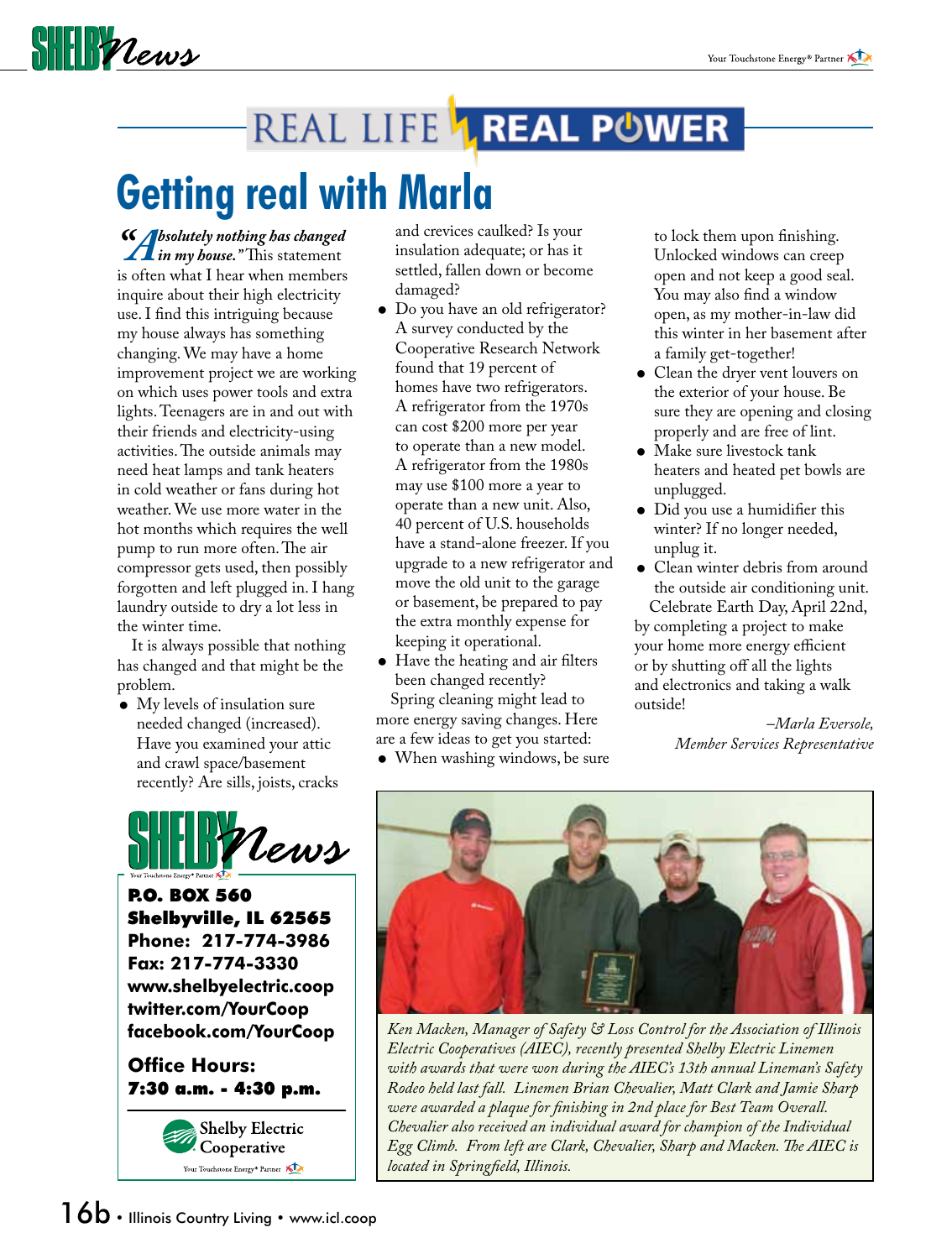## $\frac{1}{2}$

### REAL LIFE **1 REAL POWER**

# **Getting real with Marla**

*"Absolutely nothing has changed in my house."* This statement is often what I hear when members inquire about their high electricity use. I find this intriguing because my house always has something changing. We may have a home improvement project we are working on which uses power tools and extra lights. Teenagers are in and out with their friends and electricity-using activities. The outside animals may need heat lamps and tank heaters in cold weather or fans during hot weather. We use more water in the hot months which requires the well pump to run more often. The air compressor gets used, then possibly forgotten and left plugged in. I hang laundry outside to dry a lot less in the winter time.

 It is always possible that nothing has changed and that might be the problem.

 My levels of insulation sure needed changed (increased). Have you examined your attic and crawl space/basement recently? Are sills, joists, cracks



P.O. BOX 560 Shelbyville, IL 62565 **Phone: 217-774-3986 Fax: 217-774-3330 www.shelbyelectric.coop twitter.com/YourCoop facebook.com/YourCoop**

**Office Hours:** 7:30 a.m. - 4:30 p.m.



and crevices caulked? Is your insulation adequate; or has it settled, fallen down or become damaged?

- Do you have an old refrigerator? A survey conducted by the Cooperative Research Network found that 19 percent of homes have two refrigerators. A refrigerator from the 1970s can cost \$200 more per year to operate than a new model. A refrigerator from the 1980s may use \$100 more a year to operate than a new unit. Also, 40 percent of U.S. households have a stand-alone freezer. If you upgrade to a new refrigerator and move the old unit to the garage or basement, be prepared to pay the extra monthly expense for keeping it operational.
- Have the heating and air filters been changed recently? Spring cleaning might lead to more energy saving changes. Here

are a few ideas to get you started:

 When washing windows, be sure

to lock them upon finishing. Unlocked windows can creep open and not keep a good seal. You may also find a window open, as my mother-in-law did this winter in her basement after a family get-together!

- Clean the dryer vent louvers on the exterior of your house. Be sure they are opening and closing properly and are free of lint.
- Make sure livestock tank heaters and heated pet bowls are unplugged.
- Did you use a humidifier this winter? If no longer needed, unplug it.
- Clean winter debris from around the outside air conditioning unit. Celebrate Earth Day, April 22nd,

by completing a project to make your home more energy efficient or by shutting off all the lights and electronics and taking a walk outside!

> *–Marla Eversole, Member Services Representative*



*Ken Macken, Manager of Safety & Loss Control for the Association of Illinois Electric Cooperatives (AIEC), recently presented Shelby Electric Linemen with awards that were won during the AIEC's 13th annual Lineman's Safety Rodeo held last fall. Linemen Brian Chevalier, Matt Clark and Jamie Sharp were awarded a plaque for finishing in 2nd place for Best Team Overall. Chevalier also received an individual award for champion of the Individual Egg Climb. From left are Clark, Chevalier, Sharp and Macken. The AIEC is located in Springfield, Illinois.*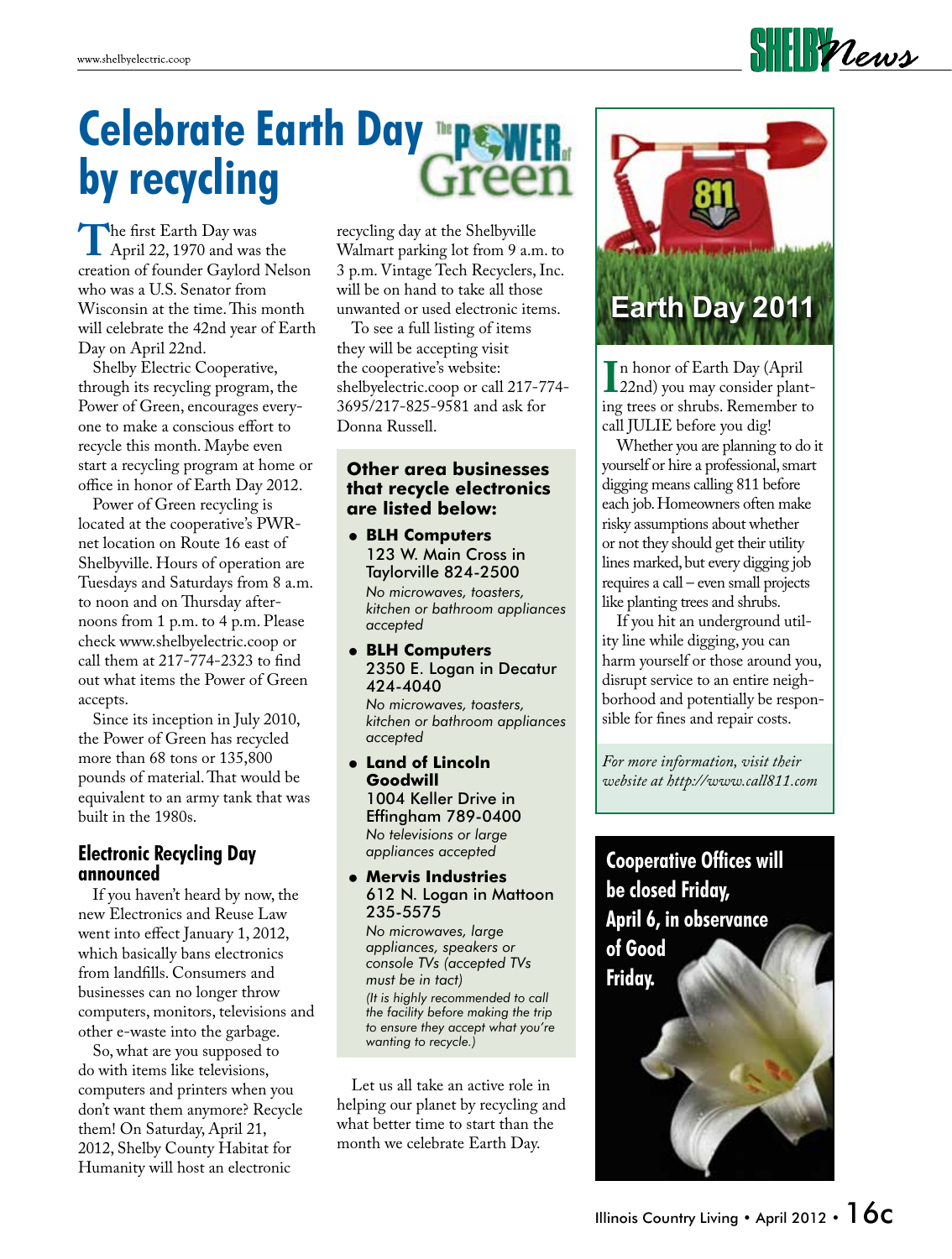### $\frac{1}{2}$

## **Celebrate Earth Day by recycling**

The first Earth Day was<br>
April 22, 1970 and was the<br>
creation of founder Gaylord Nels creation of founder Gaylord Nelson who was a U.S. Senator from Wisconsin at the time. This month will celebrate the 42nd year of Earth Day on April 22nd.

Shelby Electric Cooperative, through its recycling program, the Power of Green, encourages everyone to make a conscious effort to recycle this month. Maybe even start a recycling program at home or office in honor of Earth Day 2012.

 Power of Green recycling is located at the cooperative's PWRnet location on Route 16 east of Shelbyville. Hours of operation are Tuesdays and Saturdays from 8 a.m. to noon and on Thursday afternoons from 1 p.m. to 4 p.m. Please check www.shelbyelectric.coop or call them at 217-774-2323 to find out what items the Power of Green accepts.

 Since its inception in July 2010, the Power of Green has recycled more than 68 tons or 135,800 pounds of material. That would be equivalent to an army tank that was built in the 1980s.

#### **Electronic Recycling Day announced**

 If you haven't heard by now, the new Electronics and Reuse Law went into effect January 1, 2012, which basically bans electronics from landfills. Consumers and businesses can no longer throw computers, monitors, televisions and other e-waste into the garbage.

So, what are you supposed to do with items like televisions, computers and printers when you don't want them anymore? Recycle them! On Saturday, April 21, 2012, Shelby County Habitat for Humanity will host an electronic

recycling day at the Shelbyville Walmart parking lot from 9 a.m. to 3 p.m. Vintage Tech Recyclers, Inc. will be on hand to take all those unwanted or used electronic items.

 To see a full listing of items they will be accepting visit the cooperative's website: shelbyelectric.coop or call 217-774- 3695/217-825-9581 and ask for Donna Russell.

#### **Other area businesses that recycle electronics are listed below:**

 **BLH Computers** 123 W. Main Cross in Taylorville 824-2500 *No microwaves, toasters,* 

*kitchen or bathroom appliances accepted*

 **BLH Computers** 2350 E. Logan in Decatur 424-4040

*No microwaves, toasters, kitchen or bathroom appliances accepted*

 **Land of Lincoln Goodwill** 1004 Keller Drive in Effingham 789-0400 *No televisions or large appliances accepted*

#### **Mervis Industries** 612 N. Logan in Mattoon 235-5575

*No microwaves, large appliances, speakers or console TVs (accepted TVs must be in tact) (It is highly recommended to call the facility before making the trip to ensure they accept what you're wanting to recycle.)*

 Let us all take an active role in helping our planet by recycling and what better time to start than the month we celebrate Earth Day.



I<sup>n</sup> nonor of earth Day (April<br>
22nd) you may consider plant-<br>
ing trees or shrubs. Remember to n honor of Earth Day (April 22nd) you may consider plantcall JULIE before you dig!

 Whether you are planning to do it yourself or hire a professional, smart digging means calling 811 before each job. Homeowners often make risky assumptions about whether or not they should get their utility lines marked, but every digging job requires a call – even small projects like planting trees and shrubs.

 If you hit an underground utility line while digging, you can harm yourself or those around you, disrupt service to an entire neighborhood and potentially be responsible for fines and repair costs.

*For more information, visit their website at http://www.call811.com*